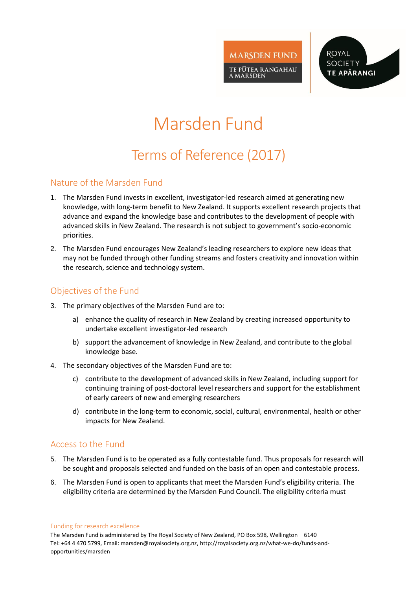

**ROYAL SOCIETY TE APÄRANGI** 

# Marsden Fund

# Terms of Reference (2017)

#### Nature of the Marsden Fund

- 1. The Marsden Fund invests in excellent, investigator-led research aimed at generating new knowledge, with long-term benefit to New Zealand. It supports excellent research projects that advance and expand the knowledge base and contributes to the development of people with advanced skills in New Zealand. The research is not subject to government's socio-economic priorities.
- 2. The Marsden Fund encourages New Zealand's leading researchers to explore new ideas that may not be funded through other funding streams and fosters creativity and innovation within the research, science and technology system.

# Objectives of the Fund

- 3. The primary objectives of the Marsden Fund are to:
	- a) enhance the quality of research in New Zealand by creating increased opportunity to undertake excellent investigator-led research
	- b) support the advancement of knowledge in New Zealand, and contribute to the global knowledge base.
- 4. The secondary objectives of the Marsden Fund are to:
	- c) contribute to the development of advanced skills in New Zealand, including support for continuing training of post-doctoral level researchers and support for the establishment of early careers of new and emerging researchers
	- d) contribute in the long-term to economic, social, cultural, environmental, health or other impacts for New Zealand.

## Access to the Fund

- 5. The Marsden Fund is to be operated as a fully contestable fund. Thus proposals for research will be sought and proposals selected and funded on the basis of an open and contestable process.
- 6. The Marsden Fund is open to applicants that meet the Marsden Fund's eligibility criteria. The eligibility criteria are determined by the Marsden Fund Council. The eligibility criteria must

Funding for research excellence

The Marsden Fund is administered by The Royal Society of New Zealand, PO Box 598, Wellington 6140 Tel: +64 4 470 5799, Email: marsden@royalsociety.org.nz, http://royalsociety.org.nz/what-we-do/funds-andopportunities/marsden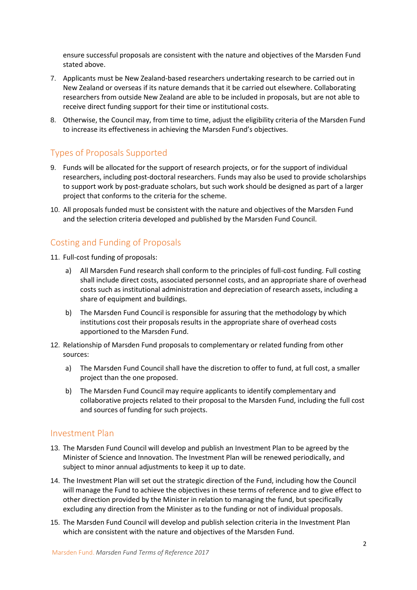ensure successful proposals are consistent with the nature and objectives of the Marsden Fund stated above.

- 7. Applicants must be New Zealand-based researchers undertaking research to be carried out in New Zealand or overseas if its nature demands that it be carried out elsewhere. Collaborating researchers from outside New Zealand are able to be included in proposals, but are not able to receive direct funding support for their time or institutional costs.
- 8. Otherwise, the Council may, from time to time, adjust the eligibility criteria of the Marsden Fund to increase its effectiveness in achieving the Marsden Fund's objectives.

# Types of Proposals Supported

- 9. Funds will be allocated for the support of research projects, or for the support of individual researchers, including post-doctoral researchers. Funds may also be used to provide scholarships to support work by post-graduate scholars, but such work should be designed as part of a larger project that conforms to the criteria for the scheme.
- 10. All proposals funded must be consistent with the nature and objectives of the Marsden Fund and the selection criteria developed and published by the Marsden Fund Council.

# Costing and Funding of Proposals

- 11. Full-cost funding of proposals:
	- a) All Marsden Fund research shall conform to the principles of full-cost funding. Full costing shall include direct costs, associated personnel costs, and an appropriate share of overhead costs such as institutional administration and depreciation of research assets, including a share of equipment and buildings.
	- b) The Marsden Fund Council is responsible for assuring that the methodology by which institutions cost their proposals results in the appropriate share of overhead costs apportioned to the Marsden Fund.
- 12. Relationship of Marsden Fund proposals to complementary or related funding from other sources:
	- a) The Marsden Fund Council shall have the discretion to offer to fund, at full cost, a smaller project than the one proposed.
	- b) The Marsden Fund Council may require applicants to identify complementary and collaborative projects related to their proposal to the Marsden Fund, including the full cost and sources of funding for such projects.

#### Investment Plan

- 13. The Marsden Fund Council will develop and publish an Investment Plan to be agreed by the Minister of Science and Innovation. The Investment Plan will be renewed periodically, and subject to minor annual adjustments to keep it up to date.
- 14. The Investment Plan will set out the strategic direction of the Fund, including how the Council will manage the Fund to achieve the objectives in these terms of reference and to give effect to other direction provided by the Minister in relation to managing the fund, but specifically excluding any direction from the Minister as to the funding or not of individual proposals.
- 15. The Marsden Fund Council will develop and publish selection criteria in the Investment Plan which are consistent with the nature and objectives of the Marsden Fund.